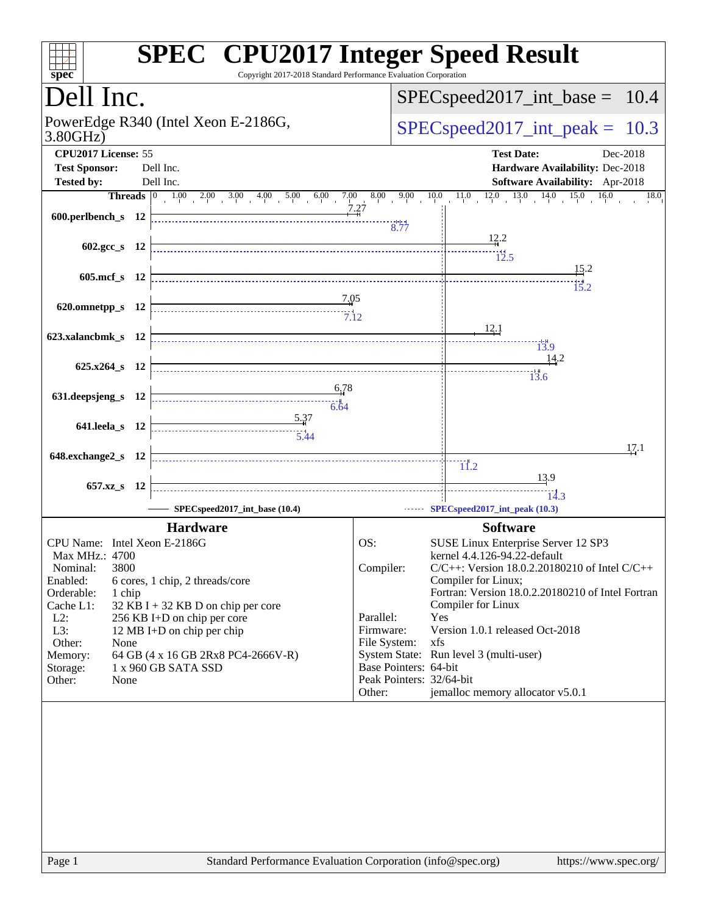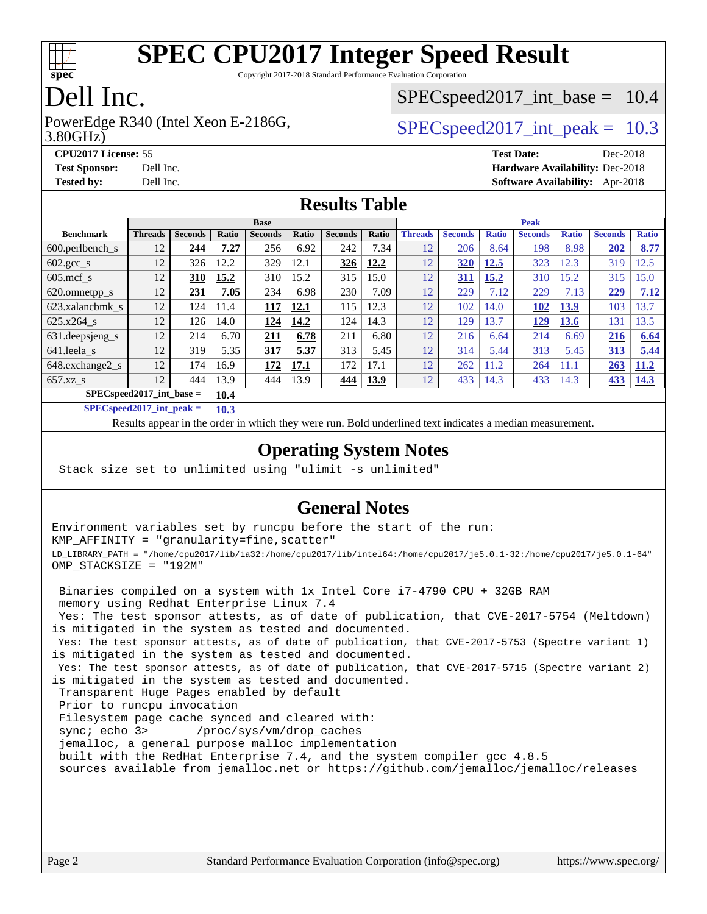

Copyright 2017-2018 Standard Performance Evaluation Corporation

### Dell Inc.

3.80GHz) PowerEdge R340 (Intel Xeon E-2186G,  $\vert$  [SPECspeed2017\\_int\\_peak =](http://www.spec.org/auto/cpu2017/Docs/result-fields.html#SPECspeed2017intpeak) 10.3

 $SPECspeed2017\_int\_base = 10.4$ 

**[Tested by:](http://www.spec.org/auto/cpu2017/Docs/result-fields.html#Testedby)** Dell Inc. **[Software Availability:](http://www.spec.org/auto/cpu2017/Docs/result-fields.html#SoftwareAvailability)** Apr-2018

**[CPU2017 License:](http://www.spec.org/auto/cpu2017/Docs/result-fields.html#CPU2017License)** 55 **[Test Date:](http://www.spec.org/auto/cpu2017/Docs/result-fields.html#TestDate)** Dec-2018 **[Test Sponsor:](http://www.spec.org/auto/cpu2017/Docs/result-fields.html#TestSponsor)** Dell Inc. **[Hardware Availability:](http://www.spec.org/auto/cpu2017/Docs/result-fields.html#HardwareAvailability)** Dec-2018

### **[Results Table](http://www.spec.org/auto/cpu2017/Docs/result-fields.html#ResultsTable)**

|                                      | <b>Base</b>    |                |       |                |       | <b>Peak</b>    |       |                |                |              |                |              |                |              |
|--------------------------------------|----------------|----------------|-------|----------------|-------|----------------|-------|----------------|----------------|--------------|----------------|--------------|----------------|--------------|
| <b>Benchmark</b>                     | <b>Threads</b> | <b>Seconds</b> | Ratio | <b>Seconds</b> | Ratio | <b>Seconds</b> | Ratio | <b>Threads</b> | <b>Seconds</b> | <b>Ratio</b> | <b>Seconds</b> | <b>Ratio</b> | <b>Seconds</b> | <b>Ratio</b> |
| $600.$ perlbench $\mathsf{S}$        | 12             | 244            | 7.27  | 256            | 6.92  | 242            | 7.34  | 12             | 206            | 8.64         | 198            | 8.98         | 202            | 8.77         |
| $602 \text{.} \text{gcc}\text{.}$ s  | 12             | 326            | 12.2  | 329            | 12.1  | 326            | 12.2  | 12             | 320            | 12.5         | 323            | 12.3         | 319            | 12.5         |
| $605$ .mcf s                         | 12             | 310            | 15.2  | 310            | 15.2  | 315            | 15.0  | 12             | 311            | 15.2         | 310            | 15.2         | 315            | 15.0         |
| 620.omnetpp_s                        | 12             | 231            | 7.05  | 234            | 6.98  | 230            | 7.09  | 12             | 229            | 7.12         | 229            | 7.13         | 229            | 7.12         |
| 623.xalancbmk s                      | 12             | 124            | 11.4  | 117            | 12.1  | 115            | 12.3  | 12             | 102            | 14.0         | 102            | 13.9         | 103            | 13.7         |
| 625.x264 s                           | 12             | 126            | 14.0  | 124            | 14.2  | 124            | 14.3  | 12             | 129            | 3.7          | 129            | 13.6         | 131            | 13.5         |
| 631.deepsjeng_s                      | 12             | 214            | 6.70  | 211            | 6.78  | 211            | 6.80  | 12             | 216            | 6.64         | 214            | 6.69         | 216            | 6.64         |
| 641.leela s                          | 12             | 319            | 5.35  | 317            | 5.37  | 313            | 5.45  | 12             | 314            | 5.44         | 313            | 5.45         | 313            | 5.44         |
| 648.exchange2_s                      | 12             | 174            | 16.9  | 172            | 17.1  | 172            | 17.1  | 12             | 262            | 11.2         | 264            | 11.1         | 263            | 11.2         |
| $657.xz$ s                           | 12             | 444            | 13.9  | 444            | 13.9  | 444            | 13.9  | 12             | 433            | 14.3         | 433            | 14.3         | 433            | 14.3         |
| $SPECspeed2017\_int\_base =$<br>10.4 |                |                |       |                |       |                |       |                |                |              |                |              |                |              |

**[SPECspeed2017\\_int\\_peak =](http://www.spec.org/auto/cpu2017/Docs/result-fields.html#SPECspeed2017intpeak) 10.3**

Results appear in the [order in which they were run.](http://www.spec.org/auto/cpu2017/Docs/result-fields.html#RunOrder) Bold underlined text [indicates a median measurement](http://www.spec.org/auto/cpu2017/Docs/result-fields.html#Median).

### **[Operating System Notes](http://www.spec.org/auto/cpu2017/Docs/result-fields.html#OperatingSystemNotes)**

Stack size set to unlimited using "ulimit -s unlimited"

### **[General Notes](http://www.spec.org/auto/cpu2017/Docs/result-fields.html#GeneralNotes)**

Environment variables set by runcpu before the start of the run: KMP\_AFFINITY = "granularity=fine,scatter" LD\_LIBRARY\_PATH = "/home/cpu2017/lib/ia32:/home/cpu2017/lib/intel64:/home/cpu2017/je5.0.1-32:/home/cpu2017/je5.0.1-64" OMP\_STACKSIZE = "192M"

 Binaries compiled on a system with 1x Intel Core i7-4790 CPU + 32GB RAM memory using Redhat Enterprise Linux 7.4 Yes: The test sponsor attests, as of date of publication, that CVE-2017-5754 (Meltdown) is mitigated in the system as tested and documented. Yes: The test sponsor attests, as of date of publication, that CVE-2017-5753 (Spectre variant 1) is mitigated in the system as tested and documented. Yes: The test sponsor attests, as of date of publication, that CVE-2017-5715 (Spectre variant 2) is mitigated in the system as tested and documented. Transparent Huge Pages enabled by default Prior to runcpu invocation Filesystem page cache synced and cleared with: sync; echo 3> /proc/sys/vm/drop\_caches jemalloc, a general purpose malloc implementation built with the RedHat Enterprise 7.4, and the system compiler gcc 4.8.5 sources available from jemalloc.net or <https://github.com/jemalloc/jemalloc/releases>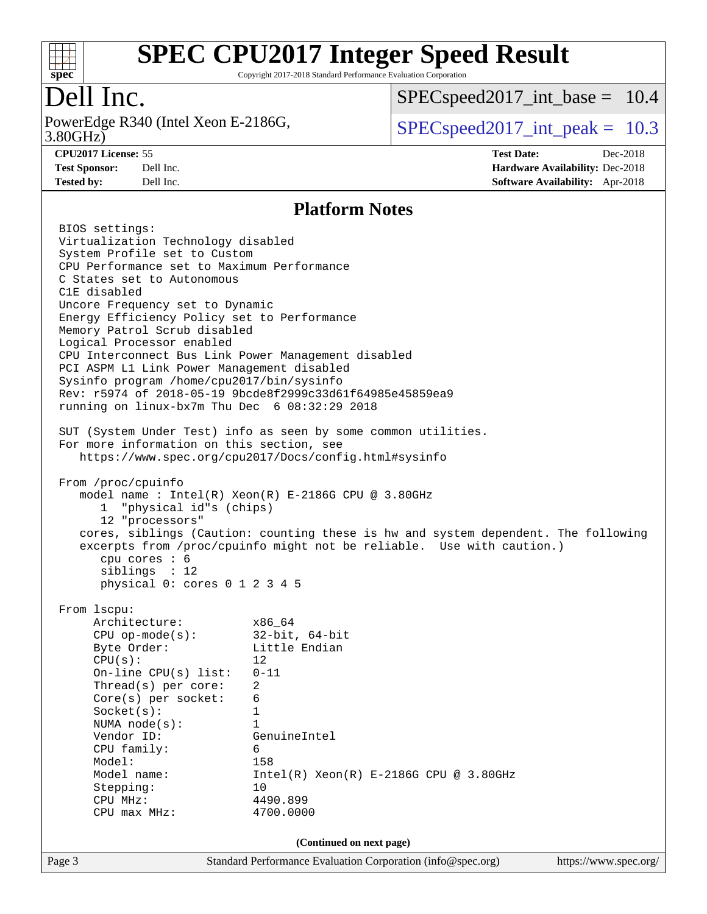

Copyright 2017-2018 Standard Performance Evaluation Corporation

## Dell Inc.

PowerEdge R340 (Intel Xeon E-2186G, 3.80GHz)

[SPECspeed2017\\_int\\_base =](http://www.spec.org/auto/cpu2017/Docs/result-fields.html#SPECspeed2017intbase) 10.4

 $SPECspeed2017\_int\_peak = 10.3$ 

**[CPU2017 License:](http://www.spec.org/auto/cpu2017/Docs/result-fields.html#CPU2017License)** 55 **[Test Date:](http://www.spec.org/auto/cpu2017/Docs/result-fields.html#TestDate)** Dec-2018 **[Test Sponsor:](http://www.spec.org/auto/cpu2017/Docs/result-fields.html#TestSponsor)** Dell Inc. **[Hardware Availability:](http://www.spec.org/auto/cpu2017/Docs/result-fields.html#HardwareAvailability)** Dec-2018 **[Tested by:](http://www.spec.org/auto/cpu2017/Docs/result-fields.html#Testedby)** Dell Inc. **[Software Availability:](http://www.spec.org/auto/cpu2017/Docs/result-fields.html#SoftwareAvailability)** Apr-2018

### **[Platform Notes](http://www.spec.org/auto/cpu2017/Docs/result-fields.html#PlatformNotes)**

| Page 3                                                                         | Standard Performance Evaluation Corporation (info@spec.org)                        | https://www.spec.org/ |  |  |  |  |  |
|--------------------------------------------------------------------------------|------------------------------------------------------------------------------------|-----------------------|--|--|--|--|--|
|                                                                                | (Continued on next page)                                                           |                       |  |  |  |  |  |
|                                                                                |                                                                                    |                       |  |  |  |  |  |
| CPU max MHz:                                                                   | 4700.0000                                                                          |                       |  |  |  |  |  |
| CPU MHz:                                                                       | 4490.899                                                                           |                       |  |  |  |  |  |
| Stepping:                                                                      | 10                                                                                 |                       |  |  |  |  |  |
| Model name:                                                                    | $Intel(R) Xeon(R) E-2186G CPU @ 3.80GHz$                                           |                       |  |  |  |  |  |
| Model:                                                                         | 158                                                                                |                       |  |  |  |  |  |
| Vendor ID:<br>CPU family:                                                      | GenuineIntel<br>6                                                                  |                       |  |  |  |  |  |
| NUMA $node(s):$                                                                | $\mathbf{1}$                                                                       |                       |  |  |  |  |  |
| Socket(s):                                                                     | 1                                                                                  |                       |  |  |  |  |  |
| $Core(s)$ per socket:                                                          | 6                                                                                  |                       |  |  |  |  |  |
| Thread(s) per core:                                                            | $\overline{2}$                                                                     |                       |  |  |  |  |  |
| On-line $CPU(s)$ list:                                                         | $0 - 11$                                                                           |                       |  |  |  |  |  |
| CPU(s):                                                                        | 12                                                                                 |                       |  |  |  |  |  |
| Byte Order:                                                                    | Little Endian                                                                      |                       |  |  |  |  |  |
| CPU op-mode(s): $32-bit, 64-bit$                                               |                                                                                    |                       |  |  |  |  |  |
| Architecture: x86_64                                                           |                                                                                    |                       |  |  |  |  |  |
| From 1scpu:                                                                    |                                                                                    |                       |  |  |  |  |  |
| physical 0: cores 0 1 2 3 4 5                                                  |                                                                                    |                       |  |  |  |  |  |
| siblings : 12                                                                  |                                                                                    |                       |  |  |  |  |  |
| cpu cores : 6                                                                  | excerpts from /proc/cpuinfo might not be reliable. Use with caution.)              |                       |  |  |  |  |  |
|                                                                                | cores, siblings (Caution: counting these is hw and system dependent. The following |                       |  |  |  |  |  |
| 12 "processors"                                                                |                                                                                    |                       |  |  |  |  |  |
| 1 "physical id"s (chips)                                                       |                                                                                    |                       |  |  |  |  |  |
|                                                                                | model name : Intel(R) Xeon(R) E-2186G CPU @ 3.80GHz                                |                       |  |  |  |  |  |
| From /proc/cpuinfo                                                             |                                                                                    |                       |  |  |  |  |  |
|                                                                                |                                                                                    |                       |  |  |  |  |  |
|                                                                                | https://www.spec.org/cpu2017/Docs/config.html#sysinfo                              |                       |  |  |  |  |  |
| For more information on this section, see                                      | SUT (System Under Test) info as seen by some common utilities.                     |                       |  |  |  |  |  |
|                                                                                |                                                                                    |                       |  |  |  |  |  |
| running on linux-bx7m Thu Dec 6 08:32:29 2018                                  |                                                                                    |                       |  |  |  |  |  |
|                                                                                | Rev: r5974 of 2018-05-19 9bcde8f2999c33d61f64985e45859ea9                          |                       |  |  |  |  |  |
| Sysinfo program /home/cpu2017/bin/sysinfo                                      |                                                                                    |                       |  |  |  |  |  |
| PCI ASPM L1 Link Power Management disabled                                     |                                                                                    |                       |  |  |  |  |  |
| CPU Interconnect Bus Link Power Management disabled                            |                                                                                    |                       |  |  |  |  |  |
| Logical Processor enabled                                                      |                                                                                    |                       |  |  |  |  |  |
| Memory Patrol Scrub disabled                                                   |                                                                                    |                       |  |  |  |  |  |
| Uncore Frequency set to Dynamic<br>Energy Efficiency Policy set to Performance |                                                                                    |                       |  |  |  |  |  |
| C1E disabled                                                                   |                                                                                    |                       |  |  |  |  |  |
| C States set to Autonomous                                                     |                                                                                    |                       |  |  |  |  |  |
|                                                                                | CPU Performance set to Maximum Performance                                         |                       |  |  |  |  |  |
| System Profile set to Custom                                                   |                                                                                    |                       |  |  |  |  |  |
| Virtualization Technology disabled                                             |                                                                                    |                       |  |  |  |  |  |
| BIOS settings:                                                                 |                                                                                    |                       |  |  |  |  |  |
|                                                                                |                                                                                    |                       |  |  |  |  |  |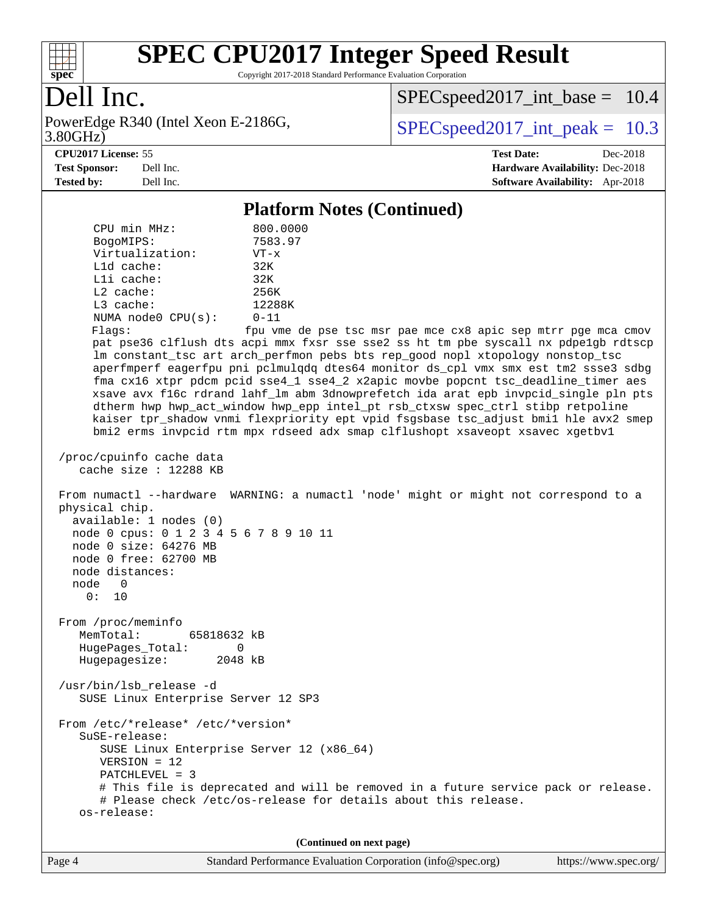

Copyright 2017-2018 Standard Performance Evaluation Corporation

## Dell Inc.

PowerEdge R340 (Intel Xeon E-2186G, 3.80GHz)

[SPECspeed2017\\_int\\_base =](http://www.spec.org/auto/cpu2017/Docs/result-fields.html#SPECspeed2017intbase) 10.4

 $SPECspeed2017\_int\_peak = 10.3$ 

#### **[CPU2017 License:](http://www.spec.org/auto/cpu2017/Docs/result-fields.html#CPU2017License)** 55 **[Test Date:](http://www.spec.org/auto/cpu2017/Docs/result-fields.html#TestDate)** Dec-2018

**[Test Sponsor:](http://www.spec.org/auto/cpu2017/Docs/result-fields.html#TestSponsor)** Dell Inc. **[Hardware Availability:](http://www.spec.org/auto/cpu2017/Docs/result-fields.html#HardwareAvailability)** Dec-2018 **[Tested by:](http://www.spec.org/auto/cpu2017/Docs/result-fields.html#Testedby)** Dell Inc. **[Software Availability:](http://www.spec.org/auto/cpu2017/Docs/result-fields.html#SoftwareAvailability)** Apr-2018

**[Platform Notes \(Continued\)](http://www.spec.org/auto/cpu2017/Docs/result-fields.html#PlatformNotes)**

| 1 macrozini 1 volco (Continueu)                                                                                                                                                                                                                                                                                                                                                                                                                                                                                                                                                                                                                                                                                                                                                                                                                                                                                                                                                             |
|---------------------------------------------------------------------------------------------------------------------------------------------------------------------------------------------------------------------------------------------------------------------------------------------------------------------------------------------------------------------------------------------------------------------------------------------------------------------------------------------------------------------------------------------------------------------------------------------------------------------------------------------------------------------------------------------------------------------------------------------------------------------------------------------------------------------------------------------------------------------------------------------------------------------------------------------------------------------------------------------|
| CPU min MHz:<br>800.0000<br>BogoMIPS:<br>7583.97<br>Virtualization:<br>$VT - x$<br>32K<br>L1d cache:<br>Lli cache:<br>32K<br>$L2$ cache:<br>256K<br>L3 cache:<br>12288K<br>$0 - 11$<br>NUMA $node0$ $CPU(s)$ :<br>Flags:<br>fpu vme de pse tsc msr pae mce cx8 apic sep mtrr pge mca cmov<br>pat pse36 clflush dts acpi mmx fxsr sse sse2 ss ht tm pbe syscall nx pdpelgb rdtscp<br>lm constant_tsc art arch_perfmon pebs bts rep_good nopl xtopology nonstop_tsc<br>aperfmperf eagerfpu pni pclmulqdq dtes64 monitor ds_cpl vmx smx est tm2 ssse3 sdbg<br>fma cx16 xtpr pdcm pcid sse4_1 sse4_2 x2apic movbe popcnt tsc_deadline_timer aes<br>xsave avx f16c rdrand lahf_lm abm 3dnowprefetch ida arat epb invpcid_single pln pts<br>dtherm hwp hwp_act_window hwp_epp intel_pt rsb_ctxsw spec_ctrl stibp retpoline<br>kaiser tpr_shadow vnmi flexpriority ept vpid fsgsbase tsc_adjust bmil hle avx2 smep<br>bmi2 erms invpcid rtm mpx rdseed adx smap clflushopt xsaveopt xsavec xgetbvl |
| /proc/cpuinfo cache data<br>cache size : 12288 KB                                                                                                                                                                                                                                                                                                                                                                                                                                                                                                                                                                                                                                                                                                                                                                                                                                                                                                                                           |
| From numactl --hardware WARNING: a numactl 'node' might or might not correspond to a<br>physical chip.<br>available: 1 nodes (0)<br>node 0 cpus: 0 1 2 3 4 5 6 7 8 9 10 11<br>node 0 size: 64276 MB<br>node 0 free: 62700 MB<br>node distances:<br>node 0<br>0: 10                                                                                                                                                                                                                                                                                                                                                                                                                                                                                                                                                                                                                                                                                                                          |
| From /proc/meminfo<br>MemTotal:<br>65818632 kB<br>HugePages_Total:<br>0<br>Hugepagesize:<br>2048 kB                                                                                                                                                                                                                                                                                                                                                                                                                                                                                                                                                                                                                                                                                                                                                                                                                                                                                         |
| /usr/bin/lsb_release -d<br>SUSE Linux Enterprise Server 12 SP3                                                                                                                                                                                                                                                                                                                                                                                                                                                                                                                                                                                                                                                                                                                                                                                                                                                                                                                              |
| From /etc/*release* /etc/*version*<br>SuSE-release:<br>SUSE Linux Enterprise Server 12 (x86_64)<br>$VERSION = 12$<br>PATCHLEVEL = 3<br># This file is deprecated and will be removed in a future service pack or release.<br># Please check /etc/os-release for details about this release.<br>os-release:                                                                                                                                                                                                                                                                                                                                                                                                                                                                                                                                                                                                                                                                                  |

**(Continued on next page)**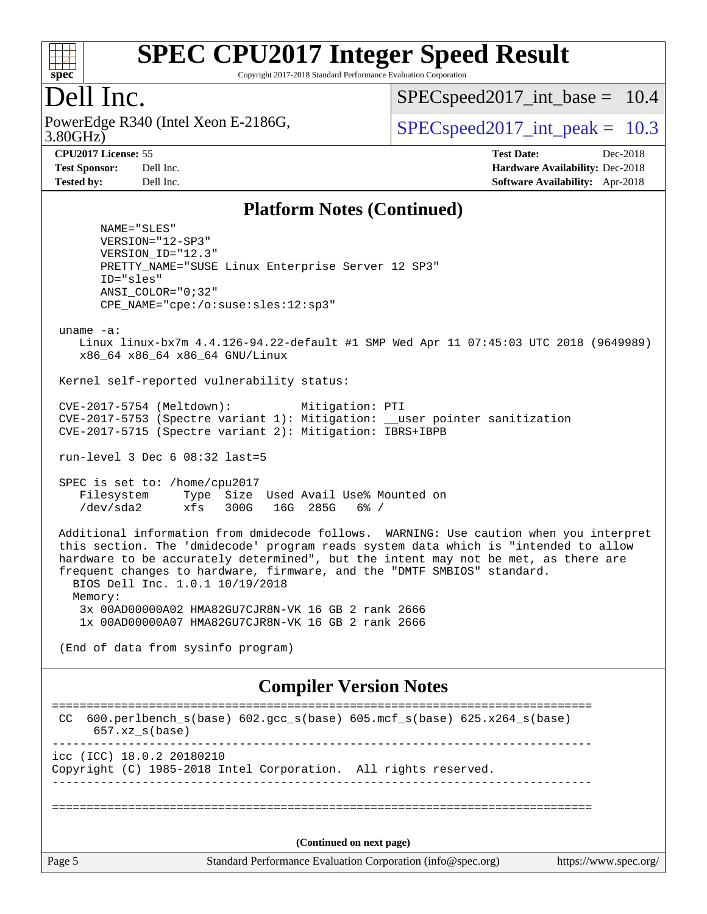

Copyright 2017-2018 Standard Performance Evaluation Corporation

## Dell Inc.

3.80GHz) PowerEdge R340 (Intel Xeon E-2186G,  $\vert$  [SPECspeed2017\\_int\\_peak =](http://www.spec.org/auto/cpu2017/Docs/result-fields.html#SPECspeed2017intpeak) 10.3

 $SPECspeed2017\_int\_base = 10.4$ 

**[CPU2017 License:](http://www.spec.org/auto/cpu2017/Docs/result-fields.html#CPU2017License)** 55 **[Test Date:](http://www.spec.org/auto/cpu2017/Docs/result-fields.html#TestDate)** Dec-2018 **[Test Sponsor:](http://www.spec.org/auto/cpu2017/Docs/result-fields.html#TestSponsor)** Dell Inc. **[Hardware Availability:](http://www.spec.org/auto/cpu2017/Docs/result-fields.html#HardwareAvailability)** Dec-2018 **[Tested by:](http://www.spec.org/auto/cpu2017/Docs/result-fields.html#Testedby)** Dell Inc. **[Software Availability:](http://www.spec.org/auto/cpu2017/Docs/result-fields.html#SoftwareAvailability)** Apr-2018

### **[Platform Notes \(Continued\)](http://www.spec.org/auto/cpu2017/Docs/result-fields.html#PlatformNotes)**

 NAME="SLES" VERSION="12-SP3" VERSION\_ID="12.3" PRETTY\_NAME="SUSE Linux Enterprise Server 12 SP3" ID="sles" ANSI\_COLOR="0;32" CPE\_NAME="cpe:/o:suse:sles:12:sp3"

uname -a:

 Linux linux-bx7m 4.4.126-94.22-default #1 SMP Wed Apr 11 07:45:03 UTC 2018 (9649989) x86\_64 x86\_64 x86\_64 GNU/Linux

Kernel self-reported vulnerability status:

 CVE-2017-5754 (Meltdown): Mitigation: PTI CVE-2017-5753 (Spectre variant 1): Mitigation: \_\_user pointer sanitization CVE-2017-5715 (Spectre variant 2): Mitigation: IBRS+IBPB

run-level 3 Dec 6 08:32 last=5

 SPEC is set to: /home/cpu2017 Filesystem Type Size Used Avail Use% Mounted on /dev/sda2 xfs 300G 16G 285G 6% /

 Additional information from dmidecode follows. WARNING: Use caution when you interpret this section. The 'dmidecode' program reads system data which is "intended to allow hardware to be accurately determined", but the intent may not be met, as there are frequent changes to hardware, firmware, and the "DMTF SMBIOS" standard. BIOS Dell Inc. 1.0.1 10/19/2018 Memory: 3x 00AD00000A02 HMA82GU7CJR8N-VK 16 GB 2 rank 2666 1x 00AD00000A07 HMA82GU7CJR8N-VK 16 GB 2 rank 2666

(End of data from sysinfo program)

### **[Compiler Version Notes](http://www.spec.org/auto/cpu2017/Docs/result-fields.html#CompilerVersionNotes)**

Page 5 Standard Performance Evaluation Corporation [\(info@spec.org\)](mailto:info@spec.org) <https://www.spec.org/> ============================================================================== CC 600.perlbench\_s(base) 602.gcc\_s(base) 605.mcf\_s(base) 625.x264\_s(base) 657.xz\_s(base) ----------------------------------------------------------------------------- icc (ICC) 18.0.2 20180210 Copyright (C) 1985-2018 Intel Corporation. All rights reserved. ------------------------------------------------------------------------------ ============================================================================== **(Continued on next page)**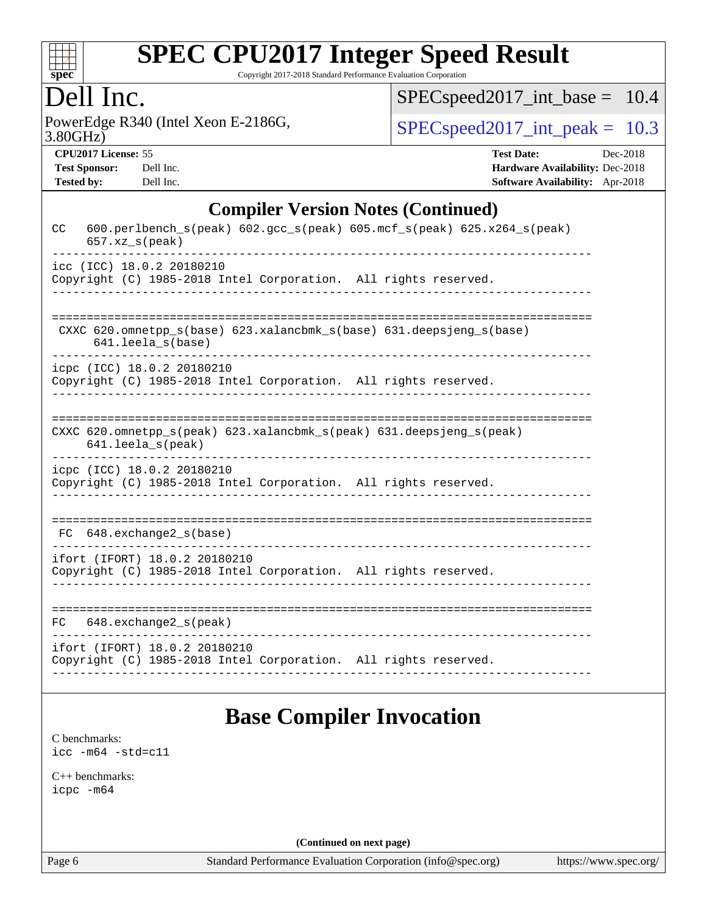

Copyright 2017-2018 Standard Performance Evaluation Corporation

## Dell Inc.

3.80GHz) PowerEdge R340 (Intel Xeon E-2186G,  $\text{SPEC speed2017\_int\_peak} = 10.3$ 

[SPECspeed2017\\_int\\_base =](http://www.spec.org/auto/cpu2017/Docs/result-fields.html#SPECspeed2017intbase) 10.4

**[CPU2017 License:](http://www.spec.org/auto/cpu2017/Docs/result-fields.html#CPU2017License)** 55 **[Test Date:](http://www.spec.org/auto/cpu2017/Docs/result-fields.html#TestDate)** Decree 2018 **Date:** Decree 2018 **Date:** Decree 2018 **Date:** Decree 2018 **Date:** Decree 2018 **Date:** Decree 2018 **Date:** Decree 2018 **Date:** Decree 2018 **Date:** Decree 2018 **Date:** Decree

| <b>Test Sponsor:</b> | Dell Ir |
|----------------------|---------|
| Tested hy.           | Dell Ir |

| <b>CPU2017 License: 55</b> |           | <b>Test Date:</b>                      | Dec-2018 |
|----------------------------|-----------|----------------------------------------|----------|
| <b>Test Sponsor:</b>       | Dell Inc. | <b>Hardware Availability: Dec-2018</b> |          |
| Tested by:                 | Dell Inc. | <b>Software Availability:</b> Apr-2018 |          |

### **[Compiler Version Notes \(Continued\)](http://www.spec.org/auto/cpu2017/Docs/result-fields.html#CompilerVersionNotes)**

| CC | $657. xz$ <sub>_<math>s</math></sub> (peak) | 600.perlbench_s(peak) 602.gcc_s(peak) 605.mcf_s(peak) 625.x264_s(peak)                          |  |
|----|---------------------------------------------|-------------------------------------------------------------------------------------------------|--|
|    | icc (ICC) 18.0.2 20180210                   | Copyright (C) 1985-2018 Intel Corporation. All rights reserved.                                 |  |
|    | $641.$ leela_s(base)                        | CXXC 620.omnetpp_s(base) 623.xalancbmk_s(base) 631.deepsjeng_s(base)                            |  |
|    | icpc (ICC) 18.0.2 20180210                  | Copyright (C) 1985-2018 Intel Corporation. All rights reserved.                                 |  |
|    | $641.$ leela_s(peak)                        | CXXC 620.omnetpp $s(\text{peak})$ 623.xalancbmk $s(\text{peak})$ 631.deepsjeng $s(\text{peak})$ |  |
|    | icpc (ICC) 18.0.2 20180210                  | Copyright (C) 1985-2018 Intel Corporation. All rights reserved.                                 |  |
|    | $FC$ 648. exchange $2_s$ (base)             |                                                                                                 |  |
|    | ifort (IFORT) 18.0.2 20180210               | Copyright (C) 1985-2018 Intel Corporation. All rights reserved.                                 |  |
|    | FC 648.exchange2_s(peak)                    |                                                                                                 |  |
|    | ifort (IFORT) 18.0.2 20180210               | Copyright (C) 1985-2018 Intel Corporation. All rights reserved.                                 |  |

## **[Base Compiler Invocation](http://www.spec.org/auto/cpu2017/Docs/result-fields.html#BaseCompilerInvocation)**

[C benchmarks](http://www.spec.org/auto/cpu2017/Docs/result-fields.html#Cbenchmarks): [icc -m64 -std=c11](http://www.spec.org/cpu2017/results/res2018q4/cpu2017-20181210-10198.flags.html#user_CCbase_intel_icc_64bit_c11_33ee0cdaae7deeeab2a9725423ba97205ce30f63b9926c2519791662299b76a0318f32ddfffdc46587804de3178b4f9328c46fa7c2b0cd779d7a61945c91cd35)

[C++ benchmarks:](http://www.spec.org/auto/cpu2017/Docs/result-fields.html#CXXbenchmarks) [icpc -m64](http://www.spec.org/cpu2017/results/res2018q4/cpu2017-20181210-10198.flags.html#user_CXXbase_intel_icpc_64bit_4ecb2543ae3f1412ef961e0650ca070fec7b7afdcd6ed48761b84423119d1bf6bdf5cad15b44d48e7256388bc77273b966e5eb805aefd121eb22e9299b2ec9d9)

**(Continued on next page)**

Page 6 Standard Performance Evaluation Corporation [\(info@spec.org\)](mailto:info@spec.org) <https://www.spec.org/>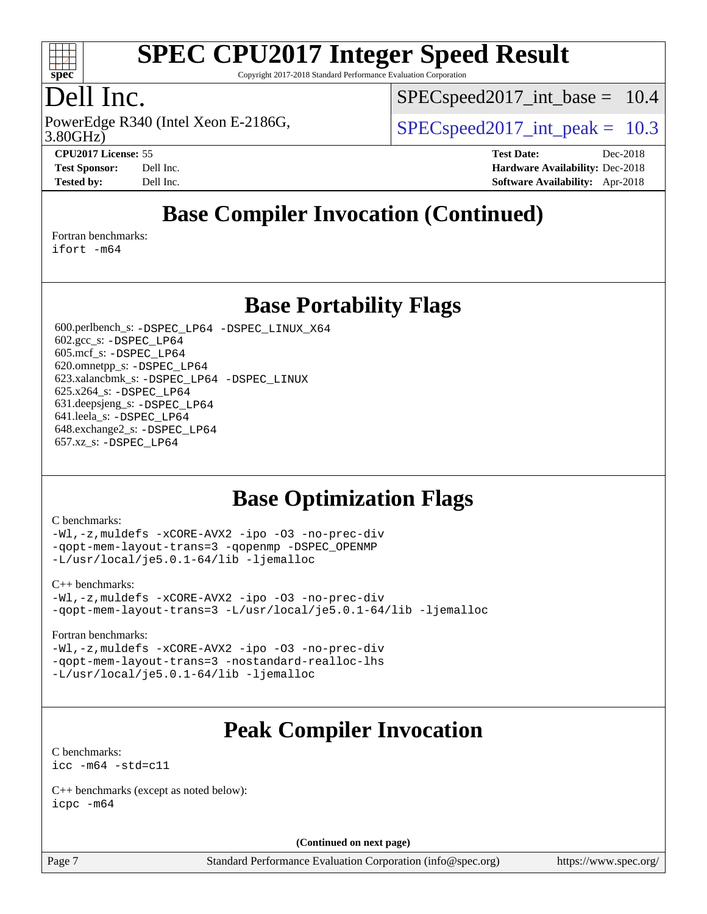

Copyright 2017-2018 Standard Performance Evaluation Corporation

## Dell Inc.

3.80GHz) PowerEdge R340 (Intel Xeon E-2186G,  $\vert$  [SPECspeed2017\\_int\\_peak =](http://www.spec.org/auto/cpu2017/Docs/result-fields.html#SPECspeed2017intpeak) 10.3

 $SPECspeed2017\_int\_base = 10.4$ 

**[CPU2017 License:](http://www.spec.org/auto/cpu2017/Docs/result-fields.html#CPU2017License)** 55 **[Test Date:](http://www.spec.org/auto/cpu2017/Docs/result-fields.html#TestDate)** Dec-2018 **[Test Sponsor:](http://www.spec.org/auto/cpu2017/Docs/result-fields.html#TestSponsor)** Dell Inc. **[Hardware Availability:](http://www.spec.org/auto/cpu2017/Docs/result-fields.html#HardwareAvailability)** Dec-2018 **[Tested by:](http://www.spec.org/auto/cpu2017/Docs/result-fields.html#Testedby)** Dell Inc. **[Software Availability:](http://www.spec.org/auto/cpu2017/Docs/result-fields.html#SoftwareAvailability)** Apr-2018

## **[Base Compiler Invocation \(Continued\)](http://www.spec.org/auto/cpu2017/Docs/result-fields.html#BaseCompilerInvocation)**

[Fortran benchmarks](http://www.spec.org/auto/cpu2017/Docs/result-fields.html#Fortranbenchmarks):

[ifort -m64](http://www.spec.org/cpu2017/results/res2018q4/cpu2017-20181210-10198.flags.html#user_FCbase_intel_ifort_64bit_24f2bb282fbaeffd6157abe4f878425411749daecae9a33200eee2bee2fe76f3b89351d69a8130dd5949958ce389cf37ff59a95e7a40d588e8d3a57e0c3fd751)

### **[Base Portability Flags](http://www.spec.org/auto/cpu2017/Docs/result-fields.html#BasePortabilityFlags)**

 600.perlbench\_s: [-DSPEC\\_LP64](http://www.spec.org/cpu2017/results/res2018q4/cpu2017-20181210-10198.flags.html#b600.perlbench_s_basePORTABILITY_DSPEC_LP64) [-DSPEC\\_LINUX\\_X64](http://www.spec.org/cpu2017/results/res2018q4/cpu2017-20181210-10198.flags.html#b600.perlbench_s_baseCPORTABILITY_DSPEC_LINUX_X64) 602.gcc\_s: [-DSPEC\\_LP64](http://www.spec.org/cpu2017/results/res2018q4/cpu2017-20181210-10198.flags.html#suite_basePORTABILITY602_gcc_s_DSPEC_LP64) 605.mcf\_s: [-DSPEC\\_LP64](http://www.spec.org/cpu2017/results/res2018q4/cpu2017-20181210-10198.flags.html#suite_basePORTABILITY605_mcf_s_DSPEC_LP64) 620.omnetpp\_s: [-DSPEC\\_LP64](http://www.spec.org/cpu2017/results/res2018q4/cpu2017-20181210-10198.flags.html#suite_basePORTABILITY620_omnetpp_s_DSPEC_LP64) 623.xalancbmk\_s: [-DSPEC\\_LP64](http://www.spec.org/cpu2017/results/res2018q4/cpu2017-20181210-10198.flags.html#suite_basePORTABILITY623_xalancbmk_s_DSPEC_LP64) [-DSPEC\\_LINUX](http://www.spec.org/cpu2017/results/res2018q4/cpu2017-20181210-10198.flags.html#b623.xalancbmk_s_baseCXXPORTABILITY_DSPEC_LINUX) 625.x264\_s: [-DSPEC\\_LP64](http://www.spec.org/cpu2017/results/res2018q4/cpu2017-20181210-10198.flags.html#suite_basePORTABILITY625_x264_s_DSPEC_LP64) 631.deepsjeng\_s: [-DSPEC\\_LP64](http://www.spec.org/cpu2017/results/res2018q4/cpu2017-20181210-10198.flags.html#suite_basePORTABILITY631_deepsjeng_s_DSPEC_LP64) 641.leela\_s: [-DSPEC\\_LP64](http://www.spec.org/cpu2017/results/res2018q4/cpu2017-20181210-10198.flags.html#suite_basePORTABILITY641_leela_s_DSPEC_LP64) 648.exchange2\_s: [-DSPEC\\_LP64](http://www.spec.org/cpu2017/results/res2018q4/cpu2017-20181210-10198.flags.html#suite_basePORTABILITY648_exchange2_s_DSPEC_LP64) 657.xz\_s: [-DSPEC\\_LP64](http://www.spec.org/cpu2017/results/res2018q4/cpu2017-20181210-10198.flags.html#suite_basePORTABILITY657_xz_s_DSPEC_LP64)

## **[Base Optimization Flags](http://www.spec.org/auto/cpu2017/Docs/result-fields.html#BaseOptimizationFlags)**

#### [C benchmarks](http://www.spec.org/auto/cpu2017/Docs/result-fields.html#Cbenchmarks):

[-Wl,-z,muldefs](http://www.spec.org/cpu2017/results/res2018q4/cpu2017-20181210-10198.flags.html#user_CCbase_link_force_multiple1_b4cbdb97b34bdee9ceefcfe54f4c8ea74255f0b02a4b23e853cdb0e18eb4525ac79b5a88067c842dd0ee6996c24547a27a4b99331201badda8798ef8a743f577) [-xCORE-AVX2](http://www.spec.org/cpu2017/results/res2018q4/cpu2017-20181210-10198.flags.html#user_CCbase_f-xCORE-AVX2) [-ipo](http://www.spec.org/cpu2017/results/res2018q4/cpu2017-20181210-10198.flags.html#user_CCbase_f-ipo) [-O3](http://www.spec.org/cpu2017/results/res2018q4/cpu2017-20181210-10198.flags.html#user_CCbase_f-O3) [-no-prec-div](http://www.spec.org/cpu2017/results/res2018q4/cpu2017-20181210-10198.flags.html#user_CCbase_f-no-prec-div) [-qopt-mem-layout-trans=3](http://www.spec.org/cpu2017/results/res2018q4/cpu2017-20181210-10198.flags.html#user_CCbase_f-qopt-mem-layout-trans_de80db37974c74b1f0e20d883f0b675c88c3b01e9d123adea9b28688d64333345fb62bc4a798493513fdb68f60282f9a726aa07f478b2f7113531aecce732043) [-qopenmp](http://www.spec.org/cpu2017/results/res2018q4/cpu2017-20181210-10198.flags.html#user_CCbase_qopenmp_16be0c44f24f464004c6784a7acb94aca937f053568ce72f94b139a11c7c168634a55f6653758ddd83bcf7b8463e8028bb0b48b77bcddc6b78d5d95bb1df2967) [-DSPEC\\_OPENMP](http://www.spec.org/cpu2017/results/res2018q4/cpu2017-20181210-10198.flags.html#suite_CCbase_DSPEC_OPENMP) [-L/usr/local/je5.0.1-64/lib](http://www.spec.org/cpu2017/results/res2018q4/cpu2017-20181210-10198.flags.html#user_CCbase_jemalloc_link_path64_4b10a636b7bce113509b17f3bd0d6226c5fb2346b9178c2d0232c14f04ab830f976640479e5c33dc2bcbbdad86ecfb6634cbbd4418746f06f368b512fced5394) [-ljemalloc](http://www.spec.org/cpu2017/results/res2018q4/cpu2017-20181210-10198.flags.html#user_CCbase_jemalloc_link_lib_d1249b907c500fa1c0672f44f562e3d0f79738ae9e3c4a9c376d49f265a04b9c99b167ecedbf6711b3085be911c67ff61f150a17b3472be731631ba4d0471706)

#### [C++ benchmarks:](http://www.spec.org/auto/cpu2017/Docs/result-fields.html#CXXbenchmarks)

[-Wl,-z,muldefs](http://www.spec.org/cpu2017/results/res2018q4/cpu2017-20181210-10198.flags.html#user_CXXbase_link_force_multiple1_b4cbdb97b34bdee9ceefcfe54f4c8ea74255f0b02a4b23e853cdb0e18eb4525ac79b5a88067c842dd0ee6996c24547a27a4b99331201badda8798ef8a743f577) [-xCORE-AVX2](http://www.spec.org/cpu2017/results/res2018q4/cpu2017-20181210-10198.flags.html#user_CXXbase_f-xCORE-AVX2) [-ipo](http://www.spec.org/cpu2017/results/res2018q4/cpu2017-20181210-10198.flags.html#user_CXXbase_f-ipo) [-O3](http://www.spec.org/cpu2017/results/res2018q4/cpu2017-20181210-10198.flags.html#user_CXXbase_f-O3) [-no-prec-div](http://www.spec.org/cpu2017/results/res2018q4/cpu2017-20181210-10198.flags.html#user_CXXbase_f-no-prec-div) [-qopt-mem-layout-trans=3](http://www.spec.org/cpu2017/results/res2018q4/cpu2017-20181210-10198.flags.html#user_CXXbase_f-qopt-mem-layout-trans_de80db37974c74b1f0e20d883f0b675c88c3b01e9d123adea9b28688d64333345fb62bc4a798493513fdb68f60282f9a726aa07f478b2f7113531aecce732043) [-L/usr/local/je5.0.1-64/lib](http://www.spec.org/cpu2017/results/res2018q4/cpu2017-20181210-10198.flags.html#user_CXXbase_jemalloc_link_path64_4b10a636b7bce113509b17f3bd0d6226c5fb2346b9178c2d0232c14f04ab830f976640479e5c33dc2bcbbdad86ecfb6634cbbd4418746f06f368b512fced5394) [-ljemalloc](http://www.spec.org/cpu2017/results/res2018q4/cpu2017-20181210-10198.flags.html#user_CXXbase_jemalloc_link_lib_d1249b907c500fa1c0672f44f562e3d0f79738ae9e3c4a9c376d49f265a04b9c99b167ecedbf6711b3085be911c67ff61f150a17b3472be731631ba4d0471706)

#### [Fortran benchmarks](http://www.spec.org/auto/cpu2017/Docs/result-fields.html#Fortranbenchmarks):

[-Wl,-z,muldefs](http://www.spec.org/cpu2017/results/res2018q4/cpu2017-20181210-10198.flags.html#user_FCbase_link_force_multiple1_b4cbdb97b34bdee9ceefcfe54f4c8ea74255f0b02a4b23e853cdb0e18eb4525ac79b5a88067c842dd0ee6996c24547a27a4b99331201badda8798ef8a743f577) [-xCORE-AVX2](http://www.spec.org/cpu2017/results/res2018q4/cpu2017-20181210-10198.flags.html#user_FCbase_f-xCORE-AVX2) [-ipo](http://www.spec.org/cpu2017/results/res2018q4/cpu2017-20181210-10198.flags.html#user_FCbase_f-ipo) [-O3](http://www.spec.org/cpu2017/results/res2018q4/cpu2017-20181210-10198.flags.html#user_FCbase_f-O3) [-no-prec-div](http://www.spec.org/cpu2017/results/res2018q4/cpu2017-20181210-10198.flags.html#user_FCbase_f-no-prec-div) [-qopt-mem-layout-trans=3](http://www.spec.org/cpu2017/results/res2018q4/cpu2017-20181210-10198.flags.html#user_FCbase_f-qopt-mem-layout-trans_de80db37974c74b1f0e20d883f0b675c88c3b01e9d123adea9b28688d64333345fb62bc4a798493513fdb68f60282f9a726aa07f478b2f7113531aecce732043) [-nostandard-realloc-lhs](http://www.spec.org/cpu2017/results/res2018q4/cpu2017-20181210-10198.flags.html#user_FCbase_f_2003_std_realloc_82b4557e90729c0f113870c07e44d33d6f5a304b4f63d4c15d2d0f1fab99f5daaed73bdb9275d9ae411527f28b936061aa8b9c8f2d63842963b95c9dd6426b8a) [-L/usr/local/je5.0.1-64/lib](http://www.spec.org/cpu2017/results/res2018q4/cpu2017-20181210-10198.flags.html#user_FCbase_jemalloc_link_path64_4b10a636b7bce113509b17f3bd0d6226c5fb2346b9178c2d0232c14f04ab830f976640479e5c33dc2bcbbdad86ecfb6634cbbd4418746f06f368b512fced5394) [-ljemalloc](http://www.spec.org/cpu2017/results/res2018q4/cpu2017-20181210-10198.flags.html#user_FCbase_jemalloc_link_lib_d1249b907c500fa1c0672f44f562e3d0f79738ae9e3c4a9c376d49f265a04b9c99b167ecedbf6711b3085be911c67ff61f150a17b3472be731631ba4d0471706)

## **[Peak Compiler Invocation](http://www.spec.org/auto/cpu2017/Docs/result-fields.html#PeakCompilerInvocation)**

[C benchmarks](http://www.spec.org/auto/cpu2017/Docs/result-fields.html#Cbenchmarks): [icc -m64 -std=c11](http://www.spec.org/cpu2017/results/res2018q4/cpu2017-20181210-10198.flags.html#user_CCpeak_intel_icc_64bit_c11_33ee0cdaae7deeeab2a9725423ba97205ce30f63b9926c2519791662299b76a0318f32ddfffdc46587804de3178b4f9328c46fa7c2b0cd779d7a61945c91cd35)

[C++ benchmarks \(except as noted below\):](http://www.spec.org/auto/cpu2017/Docs/result-fields.html#CXXbenchmarksexceptasnotedbelow) [icpc -m64](http://www.spec.org/cpu2017/results/res2018q4/cpu2017-20181210-10198.flags.html#user_CXXpeak_intel_icpc_64bit_4ecb2543ae3f1412ef961e0650ca070fec7b7afdcd6ed48761b84423119d1bf6bdf5cad15b44d48e7256388bc77273b966e5eb805aefd121eb22e9299b2ec9d9)

**(Continued on next page)**

Page 7 Standard Performance Evaluation Corporation [\(info@spec.org\)](mailto:info@spec.org) <https://www.spec.org/>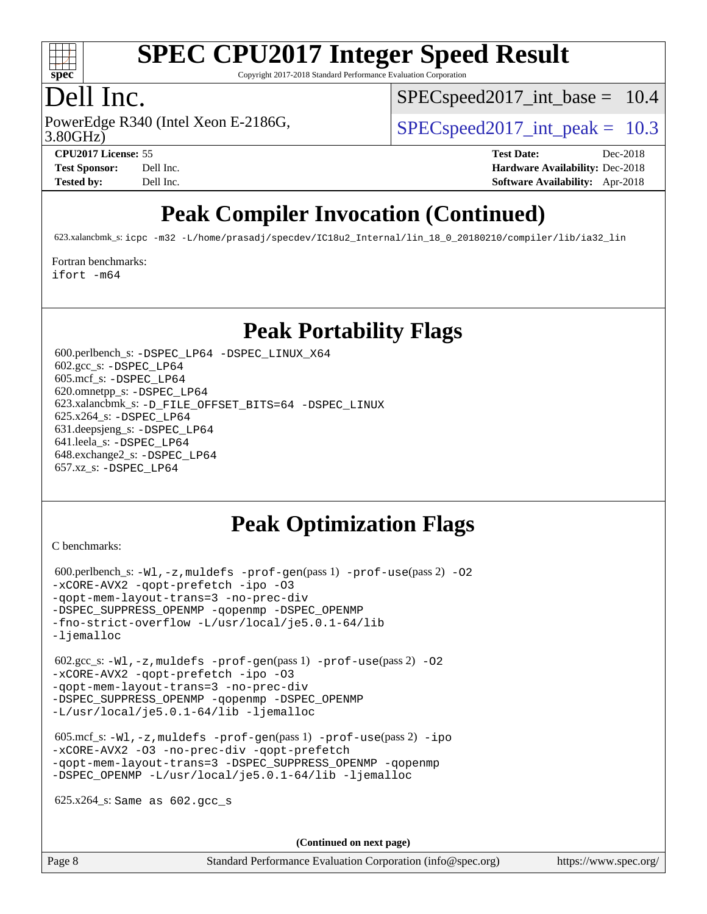

Copyright 2017-2018 Standard Performance Evaluation Corporation

## Dell Inc.

3.80GHz)

 $SPECspeed2017\_int\_base = 10.4$ 

PowerEdge R340 (Intel Xeon E-2186G,  $\vert$  [SPECspeed2017\\_int\\_peak =](http://www.spec.org/auto/cpu2017/Docs/result-fields.html#SPECspeed2017intpeak) 10.3

**[Tested by:](http://www.spec.org/auto/cpu2017/Docs/result-fields.html#Testedby)** Dell Inc. **[Software Availability:](http://www.spec.org/auto/cpu2017/Docs/result-fields.html#SoftwareAvailability)** Apr-2018

**[CPU2017 License:](http://www.spec.org/auto/cpu2017/Docs/result-fields.html#CPU2017License)** 55 **[Test Date:](http://www.spec.org/auto/cpu2017/Docs/result-fields.html#TestDate)** Dec-2018 **[Test Sponsor:](http://www.spec.org/auto/cpu2017/Docs/result-fields.html#TestSponsor)** Dell Inc. **[Hardware Availability:](http://www.spec.org/auto/cpu2017/Docs/result-fields.html#HardwareAvailability)** Dec-2018

## **[Peak Compiler Invocation \(Continued\)](http://www.spec.org/auto/cpu2017/Docs/result-fields.html#PeakCompilerInvocation)**

623.xalancbmk\_s: [icpc -m32 -L/home/prasadj/specdev/IC18u2\\_Internal/lin\\_18\\_0\\_20180210/compiler/lib/ia32\\_lin](http://www.spec.org/cpu2017/results/res2018q4/cpu2017-20181210-10198.flags.html#user_peakCXXLD623_xalancbmk_s_intel_icpc_c6d030cd79af6ea7d6fb64c57e8fe7ae8fe0b96fc5a3b3f4a10e3273b3d7fa9decd8263f6330cef23f751cb093a69fae84a2bf4c243500a8eed069248128076f)

[Fortran benchmarks](http://www.spec.org/auto/cpu2017/Docs/result-fields.html#Fortranbenchmarks):

[ifort -m64](http://www.spec.org/cpu2017/results/res2018q4/cpu2017-20181210-10198.flags.html#user_FCpeak_intel_ifort_64bit_24f2bb282fbaeffd6157abe4f878425411749daecae9a33200eee2bee2fe76f3b89351d69a8130dd5949958ce389cf37ff59a95e7a40d588e8d3a57e0c3fd751)

## **[Peak Portability Flags](http://www.spec.org/auto/cpu2017/Docs/result-fields.html#PeakPortabilityFlags)**

 600.perlbench\_s: [-DSPEC\\_LP64](http://www.spec.org/cpu2017/results/res2018q4/cpu2017-20181210-10198.flags.html#b600.perlbench_s_peakPORTABILITY_DSPEC_LP64) [-DSPEC\\_LINUX\\_X64](http://www.spec.org/cpu2017/results/res2018q4/cpu2017-20181210-10198.flags.html#b600.perlbench_s_peakCPORTABILITY_DSPEC_LINUX_X64) 602.gcc\_s: [-DSPEC\\_LP64](http://www.spec.org/cpu2017/results/res2018q4/cpu2017-20181210-10198.flags.html#suite_peakPORTABILITY602_gcc_s_DSPEC_LP64) 605.mcf\_s: [-DSPEC\\_LP64](http://www.spec.org/cpu2017/results/res2018q4/cpu2017-20181210-10198.flags.html#suite_peakPORTABILITY605_mcf_s_DSPEC_LP64) 620.omnetpp\_s: [-DSPEC\\_LP64](http://www.spec.org/cpu2017/results/res2018q4/cpu2017-20181210-10198.flags.html#suite_peakPORTABILITY620_omnetpp_s_DSPEC_LP64) 623.xalancbmk\_s: [-D\\_FILE\\_OFFSET\\_BITS=64](http://www.spec.org/cpu2017/results/res2018q4/cpu2017-20181210-10198.flags.html#user_peakPORTABILITY623_xalancbmk_s_file_offset_bits_64_5ae949a99b284ddf4e95728d47cb0843d81b2eb0e18bdfe74bbf0f61d0b064f4bda2f10ea5eb90e1dcab0e84dbc592acfc5018bc955c18609f94ddb8d550002c) [-DSPEC\\_LINUX](http://www.spec.org/cpu2017/results/res2018q4/cpu2017-20181210-10198.flags.html#b623.xalancbmk_s_peakCXXPORTABILITY_DSPEC_LINUX) 625.x264\_s: [-DSPEC\\_LP64](http://www.spec.org/cpu2017/results/res2018q4/cpu2017-20181210-10198.flags.html#suite_peakPORTABILITY625_x264_s_DSPEC_LP64) 631.deepsjeng\_s: [-DSPEC\\_LP64](http://www.spec.org/cpu2017/results/res2018q4/cpu2017-20181210-10198.flags.html#suite_peakPORTABILITY631_deepsjeng_s_DSPEC_LP64) 641.leela\_s: [-DSPEC\\_LP64](http://www.spec.org/cpu2017/results/res2018q4/cpu2017-20181210-10198.flags.html#suite_peakPORTABILITY641_leela_s_DSPEC_LP64) 648.exchange2\_s: [-DSPEC\\_LP64](http://www.spec.org/cpu2017/results/res2018q4/cpu2017-20181210-10198.flags.html#suite_peakPORTABILITY648_exchange2_s_DSPEC_LP64) 657.xz\_s: [-DSPEC\\_LP64](http://www.spec.org/cpu2017/results/res2018q4/cpu2017-20181210-10198.flags.html#suite_peakPORTABILITY657_xz_s_DSPEC_LP64)

## **[Peak Optimization Flags](http://www.spec.org/auto/cpu2017/Docs/result-fields.html#PeakOptimizationFlags)**

[C benchmarks](http://www.spec.org/auto/cpu2017/Docs/result-fields.html#Cbenchmarks):

```
 600.perlbench_s: -Wl,-z,muldefs -prof-gen(pass 1) -prof-use(pass 2) -O2
-xCORE-AVX2 -qopt-prefetch -ipo -O3
-qopt-mem-layout-trans=3 -no-prec-div
-DSPEC_SUPPRESS_OPENMP -qopenmp -DSPEC_OPENMP
-fno-strict-overflow -L/usr/local/je5.0.1-64/lib
-ljemalloc
 602.gcc_s: -Wl,-z,muldefs -prof-gen(pass 1) -prof-use(pass 2) -O2
-xCORE-AVX2 -qopt-prefetch -ipo -O3
-qopt-mem-layout-trans=3 -no-prec-div
-DSPEC_SUPPRESS_OPENMP -qopenmp -DSPEC_OPENMP
-L/usr/local/je5.0.1-64/lib -ljemalloc
 605.mcf_s: -Wl,-z,muldefs -prof-gen(pass 1) -prof-use(pass 2) -ipo
-xCORE-AVX2 -O3 -no-prec-div -qopt-prefetch
-qopt-mem-layout-trans=3 -DSPEC_SUPPRESS_OPENMP -qopenmp
-DSPEC_OPENMP -L/usr/local/je5.0.1-64/lib -ljemalloc
 625.x264_s: Same as 602.gcc_s
```
**(Continued on next page)**